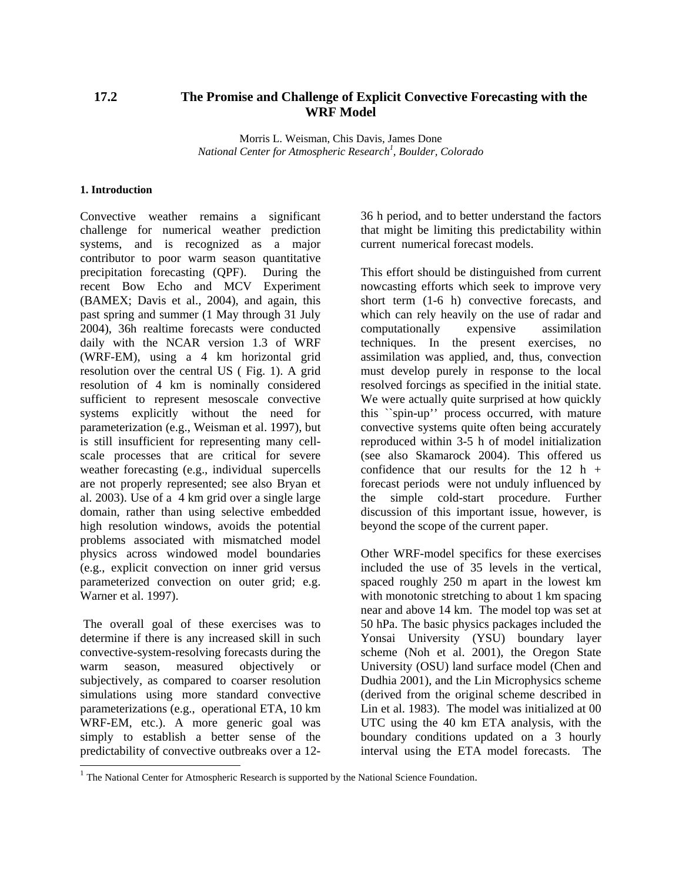# **17.2 The Promise and Challenge of Explicit Convective Forecasting with the WRF Model**

Morris L. Weisman, Chis Davis, James Done *National Center for Atmospheric Research[1](#page-0-0) , Boulder, Colorado* 

#### **1. Introduction**

Convective weather remains a significant challenge for numerical weather prediction systems, and is recognized as a major contributor to poor warm season quantitative precipitation forecasting (QPF). During the recent Bow Echo and MCV Experiment (BAMEX; Davis et al., 2004), and again, this past spring and summer (1 May through 31 July 2004), 36h realtime forecasts were conducted daily with the NCAR version 1.3 of WRF (WRF-EM), using a 4 km horizontal grid resolution over the central US ( Fig. 1). A grid resolution of 4 km is nominally considered sufficient to represent mesoscale convective systems explicitly without the need for parameterization (e.g., Weisman et al. 1997), but is still insufficient for representing many cellscale processes that are critical for severe weather forecasting (e.g., individual supercells are not properly represented; see also Bryan et al. 2003). Use of a 4 km grid over a single large domain, rather than using selective embedded high resolution windows, avoids the potential problems associated with mismatched model physics across windowed model boundaries (e.g., explicit convection on inner grid versus parameterized convection on outer grid; e.g. Warner et al. 1997).

The overall goal of these exercises was to determine if there is any increased skill in such convective-system-resolving forecasts during the warm season, measured objectively or subjectively, as compared to coarser resolution simulations using more standard convective parameterizations (e.g., operational ETA, 10 km WRF-EM, etc.). A more generic goal was simply to establish a better sense of the predictability of convective outbreaks over a 1236 h period, and to better understand the factors that might be limiting this predictability within current numerical forecast models.

This effort should be distinguished from current nowcasting efforts which seek to improve very short term (1-6 h) convective forecasts, and which can rely heavily on the use of radar and computationally expensive assimilation techniques. In the present exercises, no assimilation was applied, and, thus, convection must develop purely in response to the local resolved forcings as specified in the initial state. We were actually quite surprised at how quickly this ``spin-up'' process occurred, with mature convective systems quite often being accurately reproduced within 3-5 h of model initialization (see also Skamarock 2004). This offered us confidence that our results for the  $12 h +$ forecast periods were not unduly influenced by the simple cold-start procedure. Further discussion of this important issue, however, is beyond the scope of the current paper.

Other WRF-model specifics for these exercises included the use of 35 levels in the vertical, spaced roughly 250 m apart in the lowest km with monotonic stretching to about 1 km spacing near and above 14 km. The model top was set at 50 hPa. The basic physics packages included the Yonsai University (YSU) boundary layer scheme (Noh et al. 2001), the Oregon State University (OSU) land surface model (Chen and Dudhia 2001), and the Lin Microphysics scheme (derived from the original scheme described in Lin et al. 1983). The model was initialized at 00 UTC using the 40 km ETA analysis, with the boundary conditions updated on a 3 hourly interval using the ETA model forecasts. The

<span id="page-0-0"></span> $<sup>1</sup>$  The National Center for Atmospheric Research is supported by the National Science Foundation.</sup>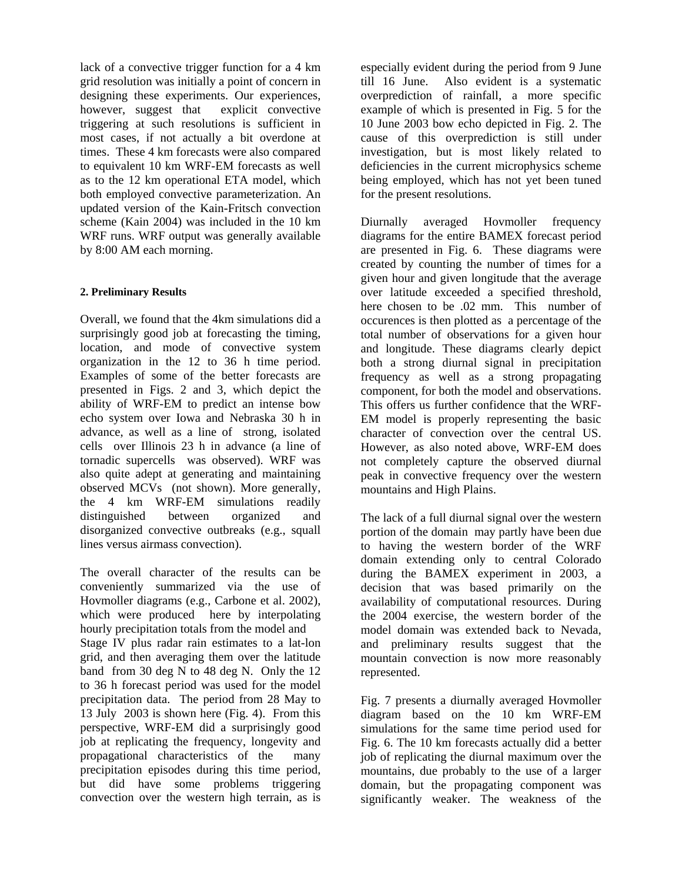lack of a convective trigger function for a 4 km grid resolution was initially a point of concern in designing these experiments. Our experiences, however, suggest that explicit convective triggering at such resolutions is sufficient in most cases, if not actually a bit overdone at times. These 4 km forecasts were also compared to equivalent 10 km WRF-EM forecasts as well as to the 12 km operational ETA model, which both employed convective parameterization. An updated version of the Kain-Fritsch convection scheme (Kain 2004) was included in the 10 km WRF runs. WRF output was generally available by 8:00 AM each morning.

## **2. Preliminary Results**

Overall, we found that the 4km simulations did a surprisingly good job at forecasting the timing, location, and mode of convective system organization in the 12 to 36 h time period. Examples of some of the better forecasts are presented in Figs. 2 and 3, which depict the ability of WRF-EM to predict an intense bow echo system over Iowa and Nebraska 30 h in advance, as well as a line of strong, isolated cells over Illinois 23 h in advance (a line of tornadic supercells was observed). WRF was also quite adept at generating and maintaining observed MCVs (not shown). More generally, the 4 km WRF-EM simulations readily distinguished between organized and disorganized convective outbreaks (e.g., squall lines versus airmass convection).

The overall character of the results can be conveniently summarized via the use of Hovmoller diagrams (e.g., Carbone et al. 2002), which were produced here by interpolating hourly precipitation totals from the model and Stage IV plus radar rain estimates to a lat-lon grid, and then averaging them over the latitude band from 30 deg N to 48 deg N. Only the 12 to 36 h forecast period was used for the model precipitation data. The period from 28 May to 13 July 2003 is shown here (Fig. 4). From this perspective, WRF-EM did a surprisingly good job at replicating the frequency, longevity and propagational characteristics of the many precipitation episodes during this time period, but did have some problems triggering convection over the western high terrain, as is

especially evident during the period from 9 June till 16 June. Also evident is a systematic overprediction of rainfall, a more specific example of which is presented in Fig. 5 for the 10 June 2003 bow echo depicted in Fig. 2. The cause of this overprediction is still under investigation, but is most likely related to deficiencies in the current microphysics scheme being employed, which has not yet been tuned for the present resolutions.

Diurnally averaged Hovmoller frequency diagrams for the entire BAMEX forecast period are presented in Fig. 6. These diagrams were created by counting the number of times for a given hour and given longitude that the average over latitude exceeded a specified threshold, here chosen to be .02 mm. This number of occurences is then plotted as a percentage of the total number of observations for a given hour and longitude. These diagrams clearly depict both a strong diurnal signal in precipitation frequency as well as a strong propagating component, for both the model and observations. This offers us further confidence that the WRF-EM model is properly representing the basic character of convection over the central US. However, as also noted above, WRF-EM does not completely capture the observed diurnal peak in convective frequency over the western mountains and High Plains.

The lack of a full diurnal signal over the western portion of the domain may partly have been due to having the western border of the WRF domain extending only to central Colorado during the BAMEX experiment in 2003, a decision that was based primarily on the availability of computational resources. During the 2004 exercise, the western border of the model domain was extended back to Nevada, and preliminary results suggest that the mountain convection is now more reasonably represented.

Fig. 7 presents a diurnally averaged Hovmoller diagram based on the 10 km WRF-EM simulations for the same time period used for Fig. 6. The 10 km forecasts actually did a better job of replicating the diurnal maximum over the mountains, due probably to the use of a larger domain, but the propagating component was significantly weaker. The weakness of the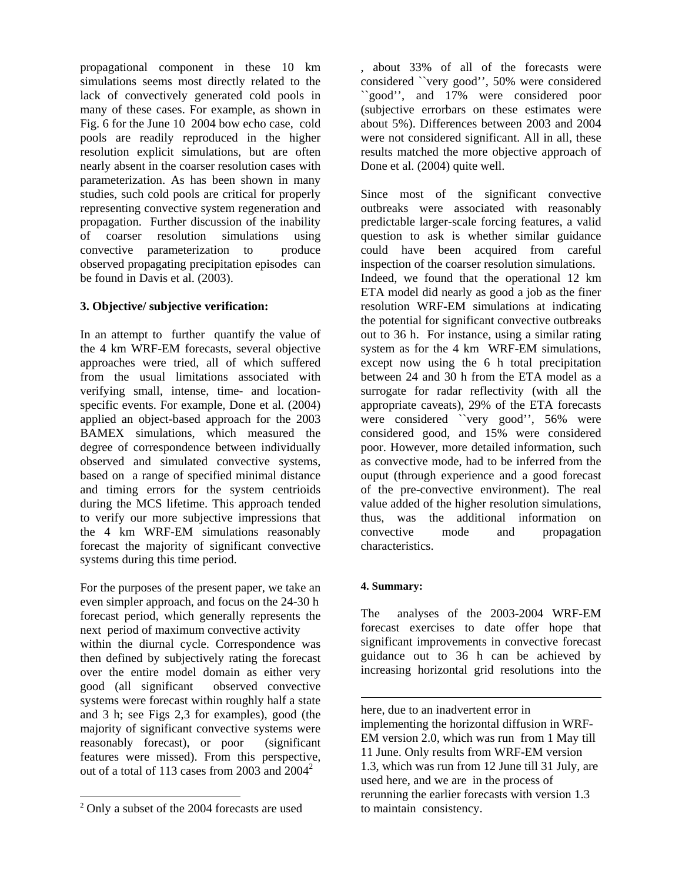propagational component in these 10 km simulations seems most directly related to the lack of convectively generated cold pools in many of these cases. For example, as shown in Fig. 6 for the June 10 2004 bow echo case, cold pools are readily reproduced in the higher resolution explicit simulations, but are often nearly absent in the coarser resolution cases with parameterization. As has been shown in many studies, such cold pools are critical for properly representing convective system regeneration and propagation. Further discussion of the inability of coarser resolution simulations using convective parameterization to produce observed propagating precipitation episodes can be found in Davis et al. (2003).

# **3. Objective/ subjective verification:**

In an attempt to further quantify the value of the 4 km WRF-EM forecasts, several objective approaches were tried, all of which suffered from the usual limitations associated with verifying small, intense, time- and locationspecific events. For example, Done et al. (2004) applied an object-based approach for the 2003 BAMEX simulations, which measured the degree of correspondence between individually observed and simulated convective systems, based on a range of specified minimal distance and timing errors for the system centrioids during the MCS lifetime. This approach tended to verify our more subjective impressions that the 4 km WRF-EM simulations reasonably forecast the majority of significant convective systems during this time period.

For the purposes of the present paper, we take an even simpler approach, and focus on the 24-30 h forecast period, which generally represents the next period of maximum convective activity within the diurnal cycle. Correspondence was then defined by subjectively rating the forecast over the entire model domain as either very good (all significant observed convective systems were forecast within roughly half a state and 3 h; see Figs 2,3 for examples), good (the majority of significant convective systems were reasonably forecast), or poor (significant features were missed). From this perspective, out of a total of 113 cases from [2](#page-2-0)003 and  $2004^2$ 

 $\overline{a}$ 

, about 33% of all of the forecasts were considered ``very good'', 50% were considered ``good'', and 17% were considered poor (subjective errorbars on these estimates were about 5%). Differences between 2003 and 2004 were not considered significant. All in all, these results matched the more objective approach of Done et al. (2004) quite well.

Since most of the significant convective outbreaks were associated with reasonably predictable larger-scale forcing features, a valid question to ask is whether similar guidance could have been acquired from careful inspection of the coarser resolution simulations. Indeed, we found that the operational 12 km ETA model did nearly as good a job as the finer resolution WRF-EM simulations at indicating the potential for significant convective outbreaks out to 36 h. For instance, using a similar rating system as for the 4 km WRF-EM simulations, except now using the 6 h total precipitation between 24 and 30 h from the ETA model as a surrogate for radar reflectivity (with all the appropriate caveats), 29% of the ETA forecasts were considered "very good", 56% were considered good, and 15% were considered poor. However, more detailed information, such as convective mode, had to be inferred from the ouput (through experience and a good forecast of the pre-convective environment). The real value added of the higher resolution simulations, thus, was the additional information on convective mode and propagation characteristics.

## **4. Summary:**

1

The analyses of the 2003-2004 WRF-EM forecast exercises to date offer hope that significant improvements in convective forecast guidance out to 36 h can be achieved by increasing horizontal grid resolutions into the

<span id="page-2-0"></span><sup>2</sup> Only a subset of the 2004 forecasts are used

here, due to an inadvertent error in implementing the horizontal diffusion in WRF-EM version 2.0, which was run from 1 May till 11 June. Only results from WRF-EM version 1.3, which was run from 12 June till 31 July, are used here, and we are in the process of rerunning the earlier forecasts with version 1.3 to maintain consistency.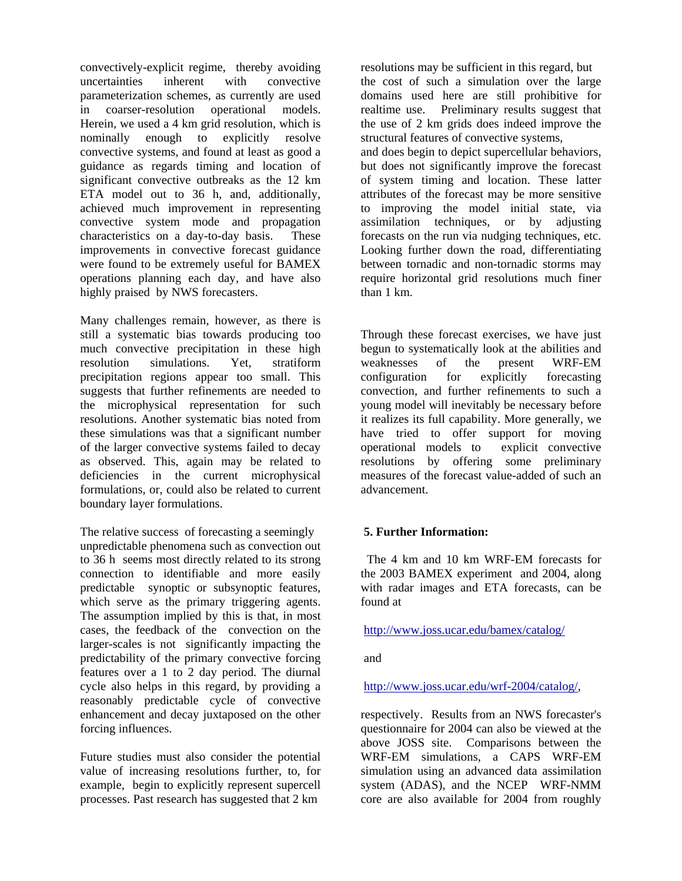convectively-explicit regime, thereby avoiding uncertainties inherent with convective parameterization schemes, as currently are used in coarser-resolution operational models. Herein, we used a 4 km grid resolution, which is nominally enough to explicitly resolve convective systems, and found at least as good a guidance as regards timing and location of significant convective outbreaks as the 12 km ETA model out to 36 h, and, additionally, achieved much improvement in representing convective system mode and propagation characteristics on a day-to-day basis. These improvements in convective forecast guidance were found to be extremely useful for BAMEX operations planning each day, and have also highly praised by NWS forecasters.

Many challenges remain, however, as there is still a systematic bias towards producing too much convective precipitation in these high resolution simulations. Yet, stratiform precipitation regions appear too small. This suggests that further refinements are needed to the microphysical representation for such resolutions. Another systematic bias noted from these simulations was that a significant number of the larger convective systems failed to decay as observed. This, again may be related to deficiencies in the current microphysical formulations, or, could also be related to current boundary layer formulations.

The relative success of forecasting a seemingly unpredictable phenomena such as convection out to 36 h seems most directly related to its strong connection to identifiable and more easily predictable synoptic or subsynoptic features, which serve as the primary triggering agents. The assumption implied by this is that, in most cases, the feedback of the convection on the larger-scales is not significantly impacting the predictability of the primary convective forcing features over a 1 to 2 day period. The diurnal cycle also helps in this regard, by providing a reasonably predictable cycle of convective enhancement and decay juxtaposed on the other forcing influences.

Future studies must also consider the potential value of increasing resolutions further, to, for example, begin to explicitly represent supercell processes. Past research has suggested that 2 km

resolutions may be sufficient in this regard, but the cost of such a simulation over the large domains used here are still prohibitive for realtime use. Preliminary results suggest that the use of 2 km grids does indeed improve the structural features of convective systems, and does begin to depict supercellular behaviors, but does not significantly improve the forecast of system timing and location. These latter attributes of the forecast may be more sensitive to improving the model initial state, via assimilation techniques, or by adjusting forecasts on the run via nudging techniques, etc. Looking further down the road, differentiating between tornadic and non-tornadic storms may require horizontal grid resolutions much finer than 1 km.

Through these forecast exercises, we have just begun to systematically look at the abilities and weaknesses of the present WRF-EM configuration for explicitly forecasting convection, and further refinements to such a young model will inevitably be necessary before it realizes its full capability. More generally, we have tried to offer support for moving operational models to explicit convective resolutions by offering some preliminary measures of the forecast value-added of such an advancement.

## **5. Further Information:**

 The 4 km and 10 km WRF-EM forecasts for the 2003 BAMEX experiment and 2004, along with radar images and ETA forecasts, can be found at

## <http://www.joss.ucar.edu/bamex/catalog/>

and

## [http://www.joss.ucar.edu/wrf-2004/catalog/,](http://www.joss.ucar.edu/wrf-2004/catalog/)

respectively. Results from an NWS forecaster's questionnaire for 2004 can also be viewed at the above JOSS site. Comparisons between the WRF-EM simulations, a CAPS WRF-EM simulation using an advanced data assimilation system (ADAS), and the NCEP WRF-NMM core are also available for 2004 from roughly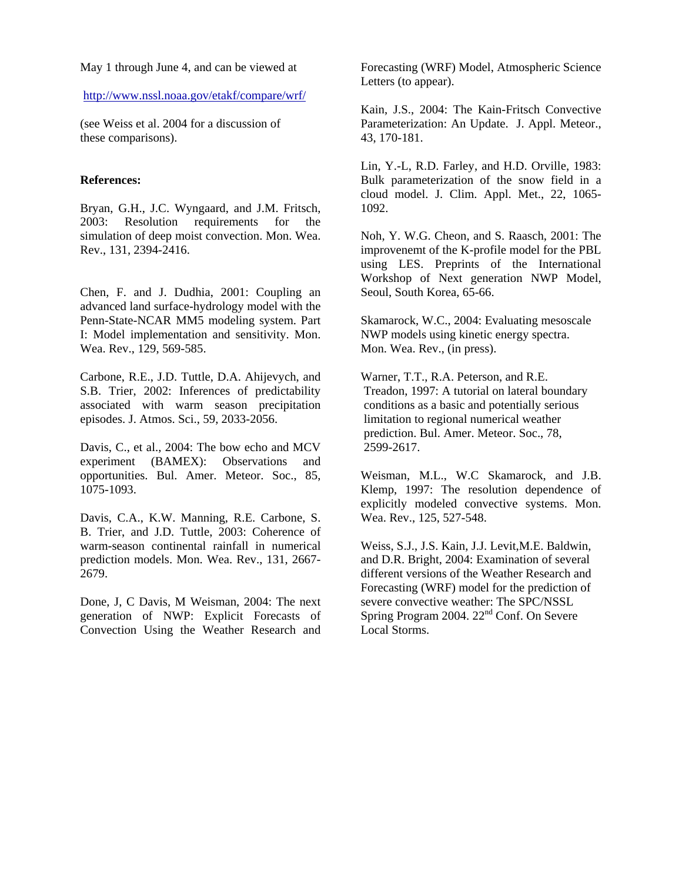May 1 through June 4, and can be viewed at

#### <http://www.nssl.noaa.gov/etakf/compare/wrf/>

(see Weiss et al. 2004 for a discussion of these comparisons).

#### **References:**

Bryan, G.H., J.C. Wyngaard, and J.M. Fritsch, 2003: Resolution requirements for the simulation of deep moist convection. Mon. Wea. Rev., 131, 2394-2416.

Chen, F. and J. Dudhia, 2001: Coupling an advanced land surface-hydrology model with the Penn-State-NCAR MM5 modeling system. Part I: Model implementation and sensitivity. Mon. Wea. Rev., 129, 569-585.

Carbone, R.E., J.D. Tuttle, D.A. Ahijevych, and S.B. Trier, 2002: Inferences of predictability associated with warm season precipitation episodes. J. Atmos. Sci., 59, 2033-2056.

Davis, C., et al., 2004: The bow echo and MCV experiment (BAMEX): Observations and opportunities. Bul. Amer. Meteor. Soc., 85, 1075-1093.

Davis, C.A., K.W. Manning, R.E. Carbone, S. B. Trier, and J.D. Tuttle, 2003: Coherence of warm-season continental rainfall in numerical prediction models. Mon. Wea. Rev., 131, 2667- 2679.

Done, J, C Davis, M Weisman, 2004: The next generation of NWP: Explicit Forecasts of Convection Using the Weather Research and

Forecasting (WRF) Model, Atmospheric Science Letters (to appear).

Kain, J.S., 2004: The Kain-Fritsch Convective Parameterization: An Update. J. Appl. Meteor., 43, 170-181.

Lin, Y.-L, R.D. Farley, and H.D. Orville, 1983: Bulk parameterization of the snow field in a cloud model. J. Clim. Appl. Met., 22, 1065- 1092.

Noh, Y. W.G. Cheon, and S. Raasch, 2001: The improvenemt of the K-profile model for the PBL using LES. Preprints of the International Workshop of Next generation NWP Model, Seoul, South Korea, 65-66.

Skamarock, W.C., 2004: Evaluating mesoscale NWP models using kinetic energy spectra. Mon. Wea. Rev., (in press).

Warner, T.T., R.A. Peterson, and R.E. Treadon, 1997: A tutorial on lateral boundary conditions as a basic and potentially serious limitation to regional numerical weather prediction. Bul. Amer. Meteor. Soc., 78, 2599-2617.

Weisman, M.L., W.C Skamarock, and J.B. Klemp, 1997: The resolution dependence of explicitly modeled convective systems. Mon. Wea. Rev., 125, 527-548.

Weiss, S.J., J.S. Kain, J.J. Levit,M.E. Baldwin, and D.R. Bright, 2004: Examination of several different versions of the Weather Research and Forecasting (WRF) model for the prediction of severe convective weather: The SPC/NSSL Spring Program 2004.  $22<sup>nd</sup>$  Conf. On Severe Local Storms.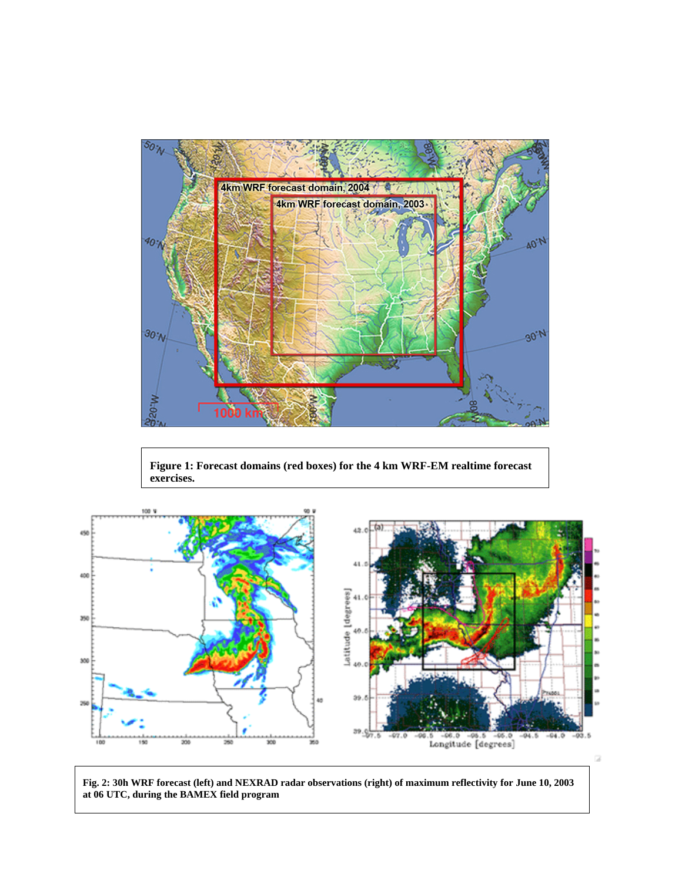

**Figure 1: Forecast domains (red boxes) for the 4 km WRF-EM realtime forecast exercises.** 



**Fig. 2: 30h WRF forecast (left) and NEXRAD radar observations (right) of maximum reflectivity for June 10, 2003 at 06 UTC, during the BAMEX field program** 

G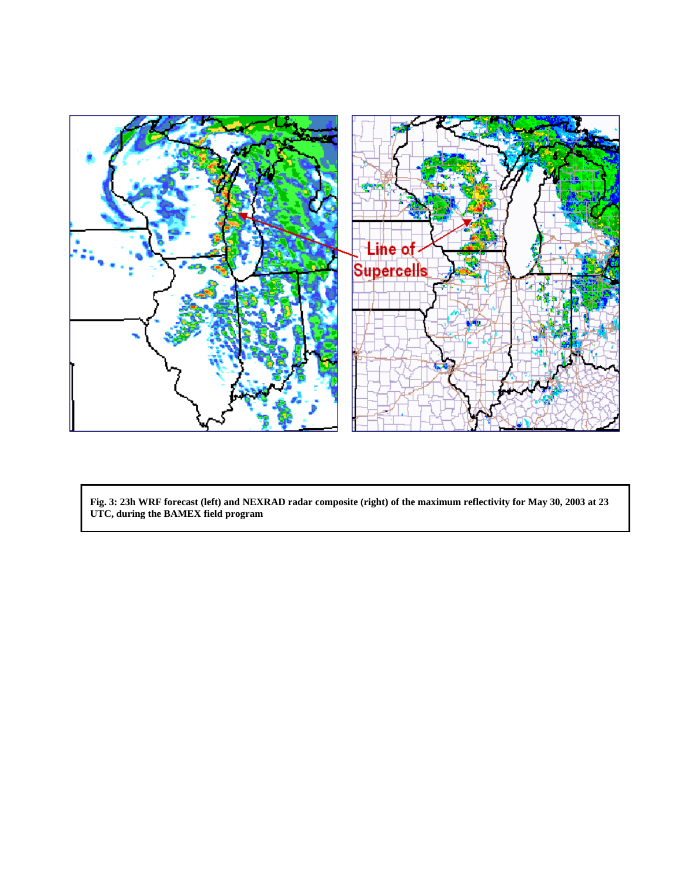

**Fig. 3: 23h WRF forecast (left) and NEXRAD radar composite (right) of the maximum reflectivity for May 30, 2003 at 23 UTC, during the BAMEX field program**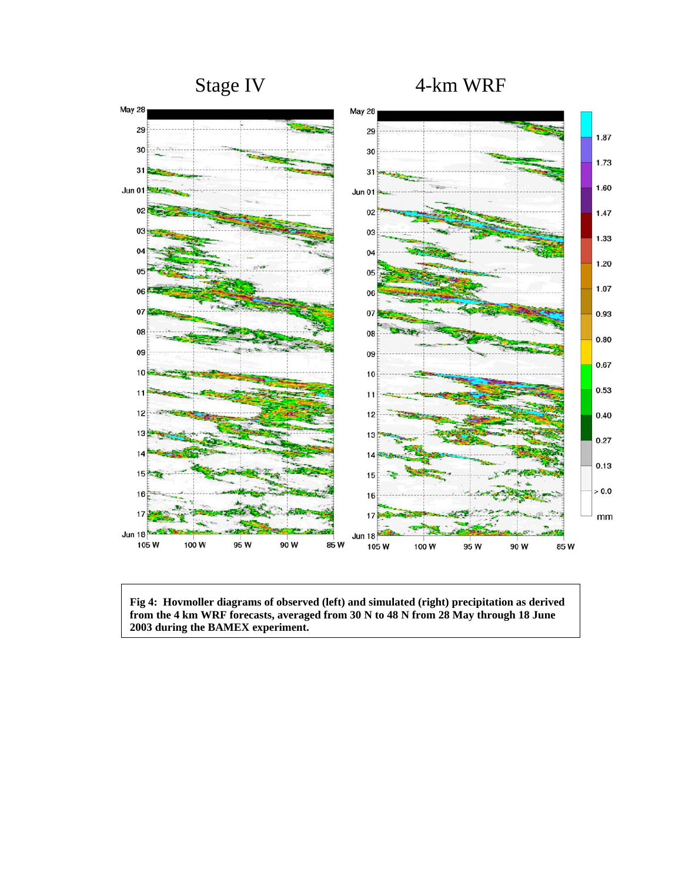

**Fig 4: Hovmoller diagrams of observed (left) and simulated (right) precipitation as derived from the 4 km WRF forecasts, averaged from 30 N to 48 N from 28 May through 18 June 2003 during the BAMEX experiment.**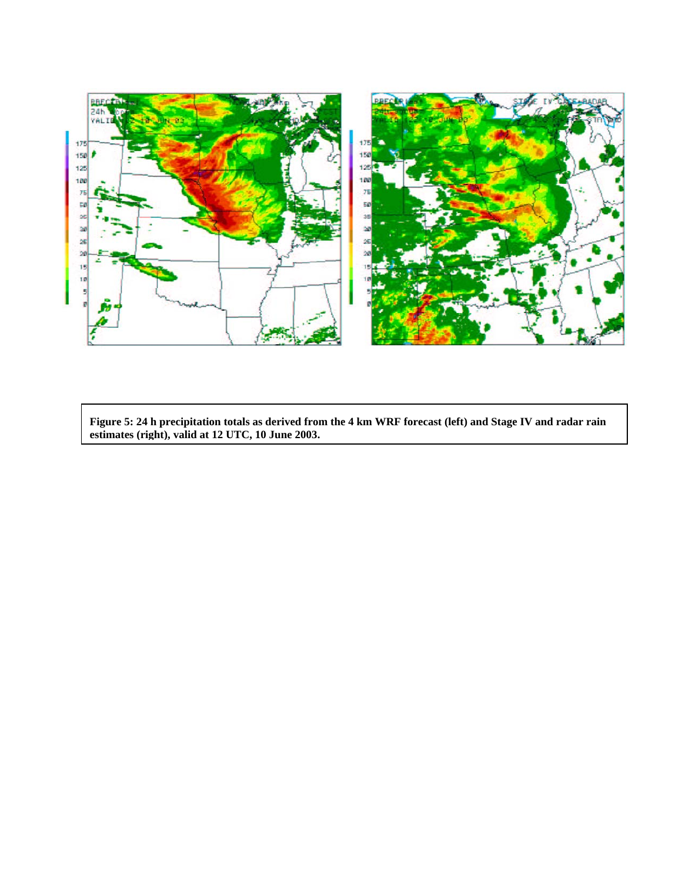

**Figure 5: 24 h precipitation totals as derived from the 4 km WRF forecast (left) and Stage IV and radar rain estimates (right), valid at 12 UTC, 10 June 2003.**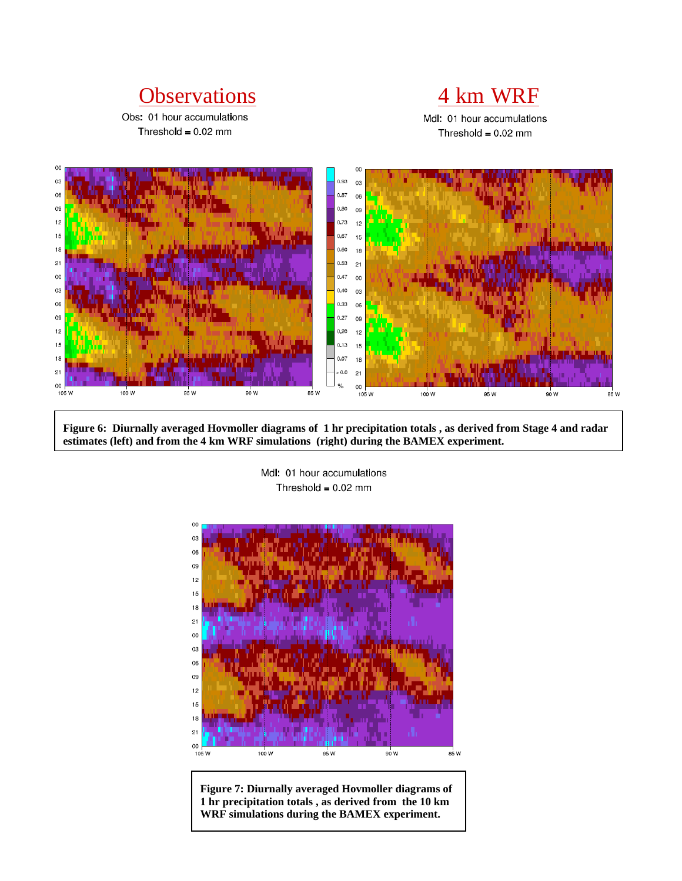# Observations 4 km WRF

Obs: 01 hour accumulations Threshold =  $0.02$  mm



Mdl: 01 hour accumulations Threshold =  $0.02$  mm



**Figure 6: Diurnally averaged Hovmoller diagrams of 1 hr precipitation totals , as derived from Stage 4 and radar estimates (left) and from the 4 km WRF simulations (right) during the BAMEX experiment.** 

Mdl: 01 hour accumulations Threshold =  $0.02$  mm



**Figure 7: Diurnally averaged Hovmoller diagrams of 1 hr precipitation totals , as derived from the 10 km WRF simulations during the BAMEX experiment.**